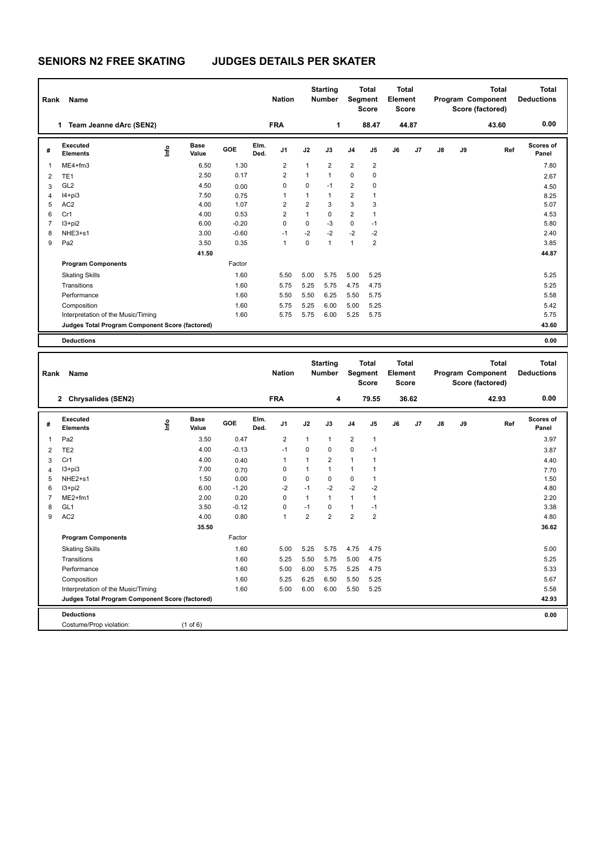## **SENIORS N2 FREE SKATING JUDGES DETAILS PER SKATER**

| Rank           | Name                                            |                              |         |              | <b>Nation</b>  |                | <b>Starting</b><br><b>Number</b> |                |                         | Total<br><b>Total</b><br>Segment<br>Element<br><b>Score</b><br><b>Score</b> |       |               |    | <b>Total</b><br>Program Component<br>Score (factored) | Total<br><b>Deductions</b> |
|----------------|-------------------------------------------------|------------------------------|---------|--------------|----------------|----------------|----------------------------------|----------------|-------------------------|-----------------------------------------------------------------------------|-------|---------------|----|-------------------------------------------------------|----------------------------|
|                | Team Jeanne dArc (SEN2)<br>1.                   |                              |         |              | <b>FRA</b>     |                | 1                                |                | 88.47                   |                                                                             | 44.87 |               |    | 43.60                                                 | 0.00                       |
| #              | Executed<br><b>Elements</b>                     | <b>Base</b><br>١nfo<br>Value | GOE     | Elm.<br>Ded. | J1             | J2             | J3                               | J <sub>4</sub> | J5                      | J6                                                                          | J7    | $\mathsf{J}8$ | J9 | Ref                                                   | Scores of<br>Panel         |
| $\mathbf{1}$   | ME4+fm3                                         | 6.50                         | 1.30    |              | $\overline{2}$ | $\mathbf{1}$   | $\overline{2}$                   | $\overline{2}$ | $\overline{\mathbf{c}}$ |                                                                             |       |               |    |                                                       | 7.80                       |
| $\overline{2}$ | TE <sub>1</sub>                                 | 2.50                         | 0.17    |              | $\overline{2}$ | 1              | $\mathbf{1}$                     | $\mathbf 0$    | 0                       |                                                                             |       |               |    |                                                       | 2.67                       |
| 3              | GL <sub>2</sub>                                 | 4.50                         | 0.00    |              | 0              | 0              | $-1$                             | $\overline{2}$ | 0                       |                                                                             |       |               |    |                                                       | 4.50                       |
| 4              | $I4+pi3$                                        | 7.50                         | 0.75    |              | 1              | 1              | $\mathbf{1}$                     | $\overline{2}$ | 1                       |                                                                             |       |               |    |                                                       | 8.25                       |
| 5              | AC <sub>2</sub>                                 | 4.00                         | 1.07    |              | 2              | $\overline{2}$ | 3                                | 3              | 3                       |                                                                             |       |               |    |                                                       | 5.07                       |
| 6              | Cr1                                             | 4.00                         | 0.53    |              | $\overline{2}$ | $\mathbf{1}$   | $\mathbf 0$                      | $\overline{2}$ | 1                       |                                                                             |       |               |    |                                                       | 4.53                       |
| 7              | $13 + pi2$                                      | 6.00                         | $-0.20$ |              | 0              | $\mathbf 0$    | $-3$                             | $\mathbf 0$    | $-1$                    |                                                                             |       |               |    |                                                       | 5.80                       |
| 8              | NHE3+s1                                         | 3.00                         | $-0.60$ |              | $-1$           | $-2$           | $-2$                             | $-2$           | $-2$                    |                                                                             |       |               |    |                                                       | 2.40                       |
| 9              | Pa <sub>2</sub>                                 | 3.50                         | 0.35    |              | 1              | 0              | $\mathbf{1}$                     | $\mathbf{1}$   | 2                       |                                                                             |       |               |    |                                                       | 3.85                       |
|                |                                                 | 41.50                        |         |              |                |                |                                  |                |                         |                                                                             |       |               |    |                                                       | 44.87                      |
|                | <b>Program Components</b>                       |                              | Factor  |              |                |                |                                  |                |                         |                                                                             |       |               |    |                                                       |                            |
|                | <b>Skating Skills</b>                           |                              | 1.60    |              | 5.50           | 5.00           | 5.75                             | 5.00           | 5.25                    |                                                                             |       |               |    |                                                       | 5.25                       |
|                | Transitions                                     |                              | 1.60    |              | 5.75           | 5.25           | 5.75                             | 4.75           | 4.75                    |                                                                             |       |               |    |                                                       | 5.25                       |
|                | Performance                                     |                              | 1.60    |              | 5.50           | 5.50           | 6.25                             | 5.50           | 5.75                    |                                                                             |       |               |    |                                                       | 5.58                       |
|                | Composition                                     |                              | 1.60    |              | 5.75           | 5.25           | 6.00                             | 5.00           | 5.25                    |                                                                             |       |               |    |                                                       | 5.42                       |
|                | Interpretation of the Music/Timing              |                              | 1.60    |              | 5.75           | 5.75           | 6.00                             | 5.25           | 5.75                    |                                                                             |       |               |    |                                                       | 5.75                       |
|                | Judges Total Program Component Score (factored) |                              |         |              |                |                |                                  |                |                         |                                                                             |       |               |    |                                                       | 43.60                      |
|                | <b>Deductions</b>                               |                              |         |              |                |                |                                  |                |                         |                                                                             |       |               |    |                                                       | 0.00                       |

| Rank           | Name                                            |                      |         |              | <b>Nation</b>  |                | <b>Starting</b><br><b>Number</b> |                | <b>Total</b><br>Segment<br><b>Score</b> | <b>Total</b><br>Element<br><b>Score</b> |       |               |    | <b>Total</b><br>Program Component<br>Score (factored) | <b>Total</b><br><b>Deductions</b> |
|----------------|-------------------------------------------------|----------------------|---------|--------------|----------------|----------------|----------------------------------|----------------|-----------------------------------------|-----------------------------------------|-------|---------------|----|-------------------------------------------------------|-----------------------------------|
|                | 2 Chrysalides (SEN2)                            |                      |         |              | <b>FRA</b>     |                | 4                                |                | 79.55                                   |                                         | 36.62 |               |    | 42.93                                                 | 0.00                              |
| #              | Executed<br>lnfo<br><b>Elements</b>             | <b>Base</b><br>Value | GOE     | Elm.<br>Ded. | J <sub>1</sub> | J2             | J3                               | J <sub>4</sub> | J <sub>5</sub>                          | J6                                      | J7    | $\mathsf{J}8$ | J9 | Ref                                                   | <b>Scores of</b><br>Panel         |
| 1              | Pa <sub>2</sub>                                 | 3.50                 | 0.47    |              | $\overline{2}$ | $\mathbf{1}$   | $\mathbf{1}$                     | $\overline{2}$ | $\mathbf{1}$                            |                                         |       |               |    |                                                       | 3.97                              |
| 2              | TE <sub>2</sub>                                 | 4.00                 | $-0.13$ |              | $-1$           | 0              | $\mathbf 0$                      | $\mathbf 0$    | $-1$                                    |                                         |       |               |    |                                                       | 3.87                              |
| 3              | Cr1                                             | 4.00                 | 0.40    |              | $\mathbf 1$    | 1              | $\overline{2}$                   | $\mathbf{1}$   | 1                                       |                                         |       |               |    |                                                       | 4.40                              |
| 4              | $13 + pi3$                                      | 7.00                 | 0.70    |              | 0              | $\mathbf{1}$   | $\mathbf{1}$                     | $\mathbf{1}$   | 1                                       |                                         |       |               |    |                                                       | 7.70                              |
| 5              | NHE2+s1                                         | 1.50                 | 0.00    |              | 0              | 0              | $\mathbf 0$                      | 0              | 1                                       |                                         |       |               |    |                                                       | 1.50                              |
| 6              | $13 + pi2$                                      | 6.00                 | $-1.20$ |              | $-2$           | $-1$           | $-2$                             | $-2$           | $-2$                                    |                                         |       |               |    |                                                       | 4.80                              |
| $\overline{7}$ | $ME2+fm1$                                       | 2.00                 | 0.20    |              | $\Omega$       | $\mathbf{1}$   | $\mathbf{1}$                     | $\mathbf{1}$   | 1                                       |                                         |       |               |    |                                                       | 2.20                              |
| 8              | GL <sub>1</sub>                                 | 3.50                 | $-0.12$ |              | 0              | $-1$           | $\Omega$                         | $\mathbf{1}$   | $-1$                                    |                                         |       |               |    |                                                       | 3.38                              |
| 9              | AC <sub>2</sub>                                 | 4.00                 | 0.80    |              | 1              | $\overline{2}$ | $\overline{2}$                   | $\overline{2}$ | $\overline{2}$                          |                                         |       |               |    |                                                       | 4.80                              |
|                |                                                 | 35.50                |         |              |                |                |                                  |                |                                         |                                         |       |               |    |                                                       | 36.62                             |
|                | <b>Program Components</b>                       |                      | Factor  |              |                |                |                                  |                |                                         |                                         |       |               |    |                                                       |                                   |
|                | <b>Skating Skills</b>                           |                      | 1.60    |              | 5.00           | 5.25           | 5.75                             | 4.75           | 4.75                                    |                                         |       |               |    |                                                       | 5.00                              |
|                | Transitions                                     |                      | 1.60    |              | 5.25           | 5.50           | 5.75                             | 5.00           | 4.75                                    |                                         |       |               |    |                                                       | 5.25                              |
|                | Performance                                     |                      | 1.60    |              | 5.00           | 6.00           | 5.75                             | 5.25           | 4.75                                    |                                         |       |               |    |                                                       | 5.33                              |
|                | Composition                                     |                      | 1.60    |              | 5.25           | 6.25           | 6.50                             | 5.50           | 5.25                                    |                                         |       |               |    |                                                       | 5.67                              |
|                | Interpretation of the Music/Timing              |                      | 1.60    |              | 5.00           | 6.00           | 6.00                             | 5.50           | 5.25                                    |                                         |       |               |    |                                                       | 5.58                              |
|                | Judges Total Program Component Score (factored) |                      |         |              |                |                |                                  |                |                                         |                                         |       |               |    |                                                       | 42.93                             |
|                | <b>Deductions</b>                               |                      |         |              |                |                |                                  |                |                                         |                                         |       |               |    |                                                       | 0.00                              |
|                | Costume/Prop violation:                         | $(1$ of 6)           |         |              |                |                |                                  |                |                                         |                                         |       |               |    |                                                       |                                   |